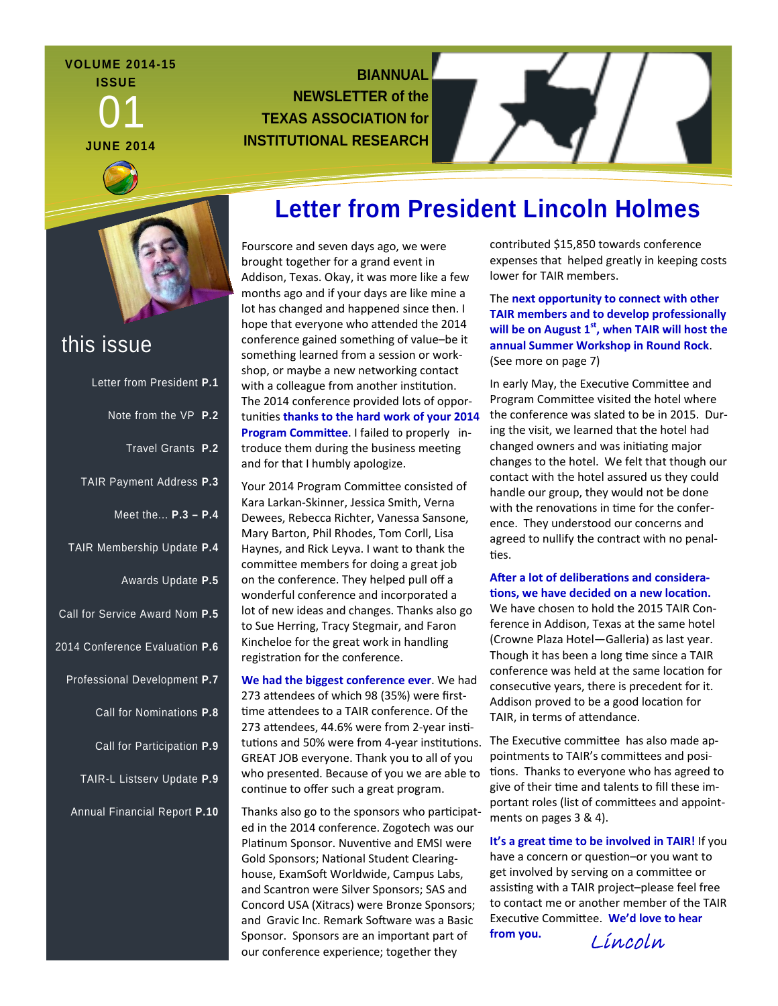#### **VOLUME 2014-15 ISSUE**

01 **JUNE 2014** 

### **BIANNUAL NEWSLETTER of the TEXAS ASSOCIATION for INSTITUTIONAL RESEARCH**



### this issue

| Letter from President P.1      |  |
|--------------------------------|--|
| Note from the VP P.2           |  |
| Travel Grants P.2              |  |
| TAIR Payment Address P.3       |  |
| Meet the $P.3 - P.4$           |  |
| TAIR Membership Update P.4     |  |
| Awards Update P.5              |  |
| Call for Service Award Nom P.5 |  |
| 2014 Conference Evaluation P.6 |  |
| Professional Development P.7   |  |
| Call for Nominations P.8       |  |
| Call for Participation P.9     |  |
| TAIR-L Listserv Update P.9     |  |
| Annual Financial Report P.10   |  |

# **Letter from President Lincoln Holmes**

Fourscore and seven days ago, we were brought together for a grand event in Addison, Texas. Okay, it was more like a few months ago and if your days are like mine a lot has changed and happened since then. I hope that everyone who attended the 2014 conference gained something of value–be it something learned from a session or work‐ shop, or maybe a new networking contact with a colleague from another institution. The 2014 conference provided lots of oppor‐ tuniƟes **thanks to the hard work of your 2014 Program Committee**. I failed to properly introduce them during the business meeting and for that I humbly apologize.

Your 2014 Program Committee consisted of Kara Larkan‐Skinner, Jessica Smith, Verna Dewees, Rebecca Richter, Vanessa Sansone, Mary Barton, Phil Rhodes, Tom Corll, Lisa Haynes, and Rick Leyva. I want to thank the committee members for doing a great job on the conference. They helped pull off a wonderful conference and incorporated a lot of new ideas and changes. Thanks also go to Sue Herring, Tracy Stegmair, and Faron Kincheloe for the great work in handling registration for the conference.

**We had the biggest conference ever**. We had 273 attendees of which 98 (35%) were firsttime attendees to a TAIR conference. Of the 273 attendees, 44.6% were from 2-year institutions and 50% were from 4-year institutions. GREAT JOB everyone. Thank you to all of you who presented. Because of you we are able to continue to offer such a great program.

Thanks also go to the sponsors who participated in the 2014 conference. Zogotech was our Platinum Sponsor. Nuventive and EMSI were Gold Sponsors; National Student Clearinghouse, ExamSoft Worldwide, Campus Labs, and Scantron were Silver Sponsors; SAS and Concord USA (Xitracs) were Bronze Sponsors; and Gravic Inc. Remark Software was a Basic Sponsor. Sponsors are an important part of our conference experience; together they

contributed \$15,850 towards conference expenses that helped greatly in keeping costs lower for TAIR members.

The **next opportunity to connect with other TAIR members and to develop professionally will be on August 1st, when TAIR will host the annual Summer Workshop in Round Rock**. (See more on page 7)

In early May, the Executive Committee and Program Committee visited the hotel where the conference was slated to be in 2015. Dur‐ ing the visit, we learned that the hotel had changed owners and was initiating major changes to the hotel. We felt that though our contact with the hotel assured us they could handle our group, they would not be done with the renovations in time for the conference. They understood our concerns and agreed to nullify the contract with no penal‐ ties.

#### **After a lot of deliberations and considera-Ɵons, we have decided on a new locaƟon.**

We have chosen to hold the 2015 TAIR Conference in Addison, Texas at the same hotel (Crowne Plaza Hotel—Galleria) as last year. Though it has been a long time since a TAIR conference was held at the same location for consecutive years, there is precedent for it. Addison proved to be a good location for TAIR, in terms of attendance.

The Executive committee has also made appointments to TAIR's committees and positions. Thanks to everyone who has agreed to give of their time and talents to fill these important roles (list of committees and appointments on pages 3 & 4).

**It's a great Ɵme to be involved in TAIR!** If you have a concern or question-or you want to get involved by serving on a committee or assisting with a TAIR project-please feel free to contact me or another member of the TAIR ExecuƟve CommiƩee. **We'd love to hear**

**from you.** Lincoln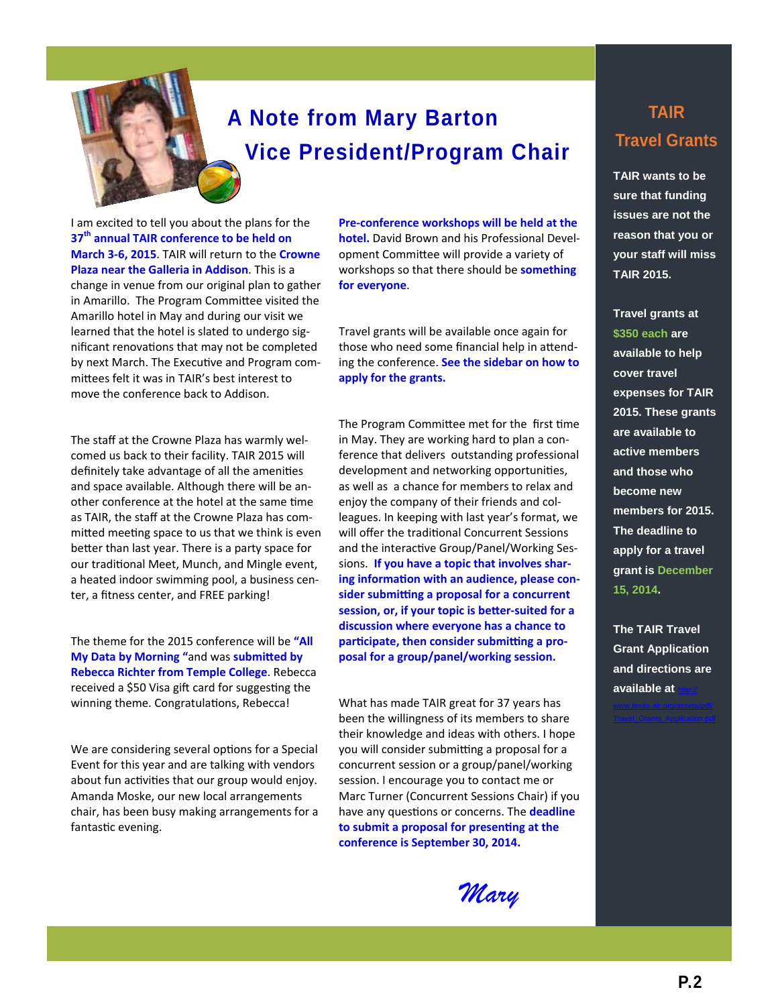

# **A Note from Mary Barton Vice President/Program Chair**

I am excited to tell you about the plans for the **37th annual TAIR conference to be held on March 3-6, 2015**. TAIR will return to the **Crowne Plaza near the Galleria in Addison**. This is a change in venue from our original plan to gather in Amarillo. The Program Committee visited the Amarillo hotel in May and during our visit we learned that the hotel is slated to undergo sig‐ nificant renovations that may not be completed by next March. The Executive and Program committees felt it was in TAIR's best interest to move the conference back to Addison.

The staff at the Crowne Plaza has warmly wel‐ comed us back to their facility. TAIR 2015 will definitely take advantage of all the amenities and space available. Although there will be an‐ other conference at the hotel at the same time as TAIR, the staff at the Crowne Plaza has com‐ mitted meeting space to us that we think is even better than last year. There is a party space for our traditional Meet, Munch, and Mingle event, a heated indoor swimming pool, a business cen‐ ter, a fitness center, and FREE parking!

The theme for the 2015 conference will be **"All My Data by Morning** "and was **submitted by Rebecca Richter from Temple College**. Rebecca received a \$50 Visa gift card for suggesting the winning theme. Congratulations, Rebecca!

We are considering several options for a Special Event for this year and are talking with vendors about fun activities that our group would enjoy. Amanda Moske, our new local arrangements chair, has been busy making arrangements for a fantastic evening.

**Pre-conference workshops will be held at the hotel.** David Brown and his Professional Devel‐ opment Committee will provide a variety of workshops so that there should be **something for everyone**.

Travel grants will be available once again for those who need some financial help in attending the conference. **See the sidebar on how to apply for the grants.**

The Program Committee met for the first time in May. They are working hard to plan a con‐ ference that delivers outstanding professional development and networking opportunities, as well as a chance for members to relax and enjoy the company of their friends and col‐ leagues. In keeping with last year's format, we will offer the traditional Concurrent Sessions and the interactive Group/Panel/Working Sessions. **If you have a topic that involves sharing informaƟon with an audience, please consider submiƫng a proposal for a concurrent session, or, if your topic is beƩer-suited for a discussion where everyone has a chance to participate, then consider submitting a proposal for a group/panel/working session.**

What has made TAIR great for 37 years has been the willingness of its members to share their knowledge and ideas with others. I hope you will consider submitting a proposal for a concurrent session or a group/panel/working session. I encourage you to contact me or Marc Turner (Concurrent Sessions Chair) if you have any questions or concerns. The **deadline to submit a proposal for presenƟng at the conference is September 30, 2014.**

*Mary* 

# **TAIR Travel Grants**

**TAIR wants to be sure that funding issues are not the reason that you or your staff will miss TAIR 2015.** 

**Travel grants at \$350 each are available to help cover travel expenses for TAIR 2015. These grants are available to active members and those who become new members for 2015. The deadline to apply for a travel grant is December 15, 2014.** 

**The TAIR Travel Grant Application and directions are**  available at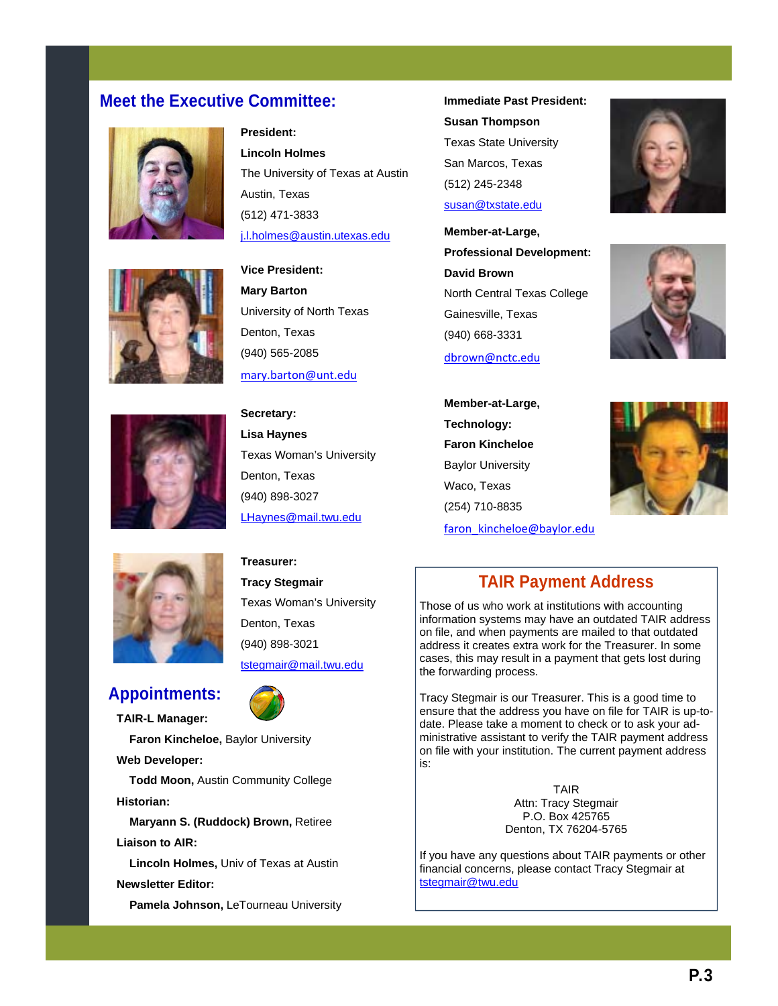#### **Meet the Executive Committee: Immediate Past President:**

**President:** 

**Lincoln Holmes** 







The University of Texas at Austin Austin, Texas (512) 471-3833 j.l.holmes@austin.utexas.edu **Vice President:** 

**Mary Barton**  University of North Texas Denton, Texas (940) 565-2085

**Lisa Haynes**  Texas Woman's University Denton, Texas (940) 898-3027 LHaynes@mail.twu.edu

mary.barton@unt.edu **Secretary:** 

**Susan Thompson**  Texas State University San Marcos, Texas (512) 245-2348 susan@txstate.edu

**Member-at-Large, Professional Development: David Brown**  North Central Texas College Gainesville, Texas (940) 668-3331

dbrown@nctc.edu









### **Appointments:**

**TAIR-L Manager:** 

 **Faron Kincheloe,** Baylor University

**Web Developer:** 

 **Todd Moon,** Austin Community College **Historian:** 

 **Maryann S. (Ruddock) Brown,** Retiree **Liaison to AIR:** 

 **Lincoln Holmes,** Univ of Texas at Austin **Newsletter Editor:** 

 **Pamela Johnson,** LeTourneau University

**Treasurer: Tracy Stegmair**  Texas Woman's University Denton, Texas (940) 898-3021 tstegmair@mail.twu.edu

### **TAIR Payment Address**

Those of us who work at institutions with accounting information systems may have an outdated TAIR address on file, and when payments are mailed to that outdated address it creates extra work for the Treasurer. In some cases, this may result in a payment that gets lost during the forwarding process.

Tracy Stegmair is our Treasurer. This is a good time to ensure that the address you have on file for TAIR is up-todate. Please take a moment to check or to ask your administrative assistant to verify the TAIR payment address on file with your institution. The current payment address is:

> TAIR Attn: Tracy Stegmair P.O. Box 425765 Denton, TX 76204-5765

If you have any questions about TAIR payments or other financial concerns, please contact Tracy Stegmair at tstegmair@twu.edu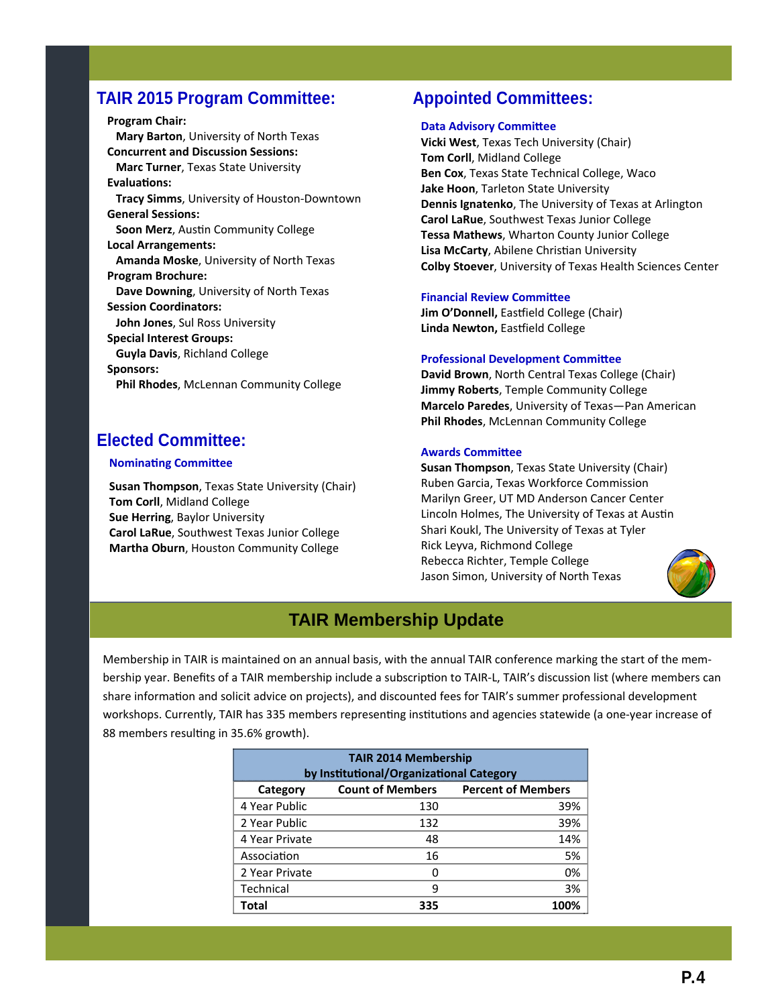#### **TAIR 2015 Program Committee:**

**Program Chair: Mary Barton**, University of North Texas **Concurrent and Discussion Sessions: Marc Turner**, Texas State University **EvaluaƟons: Tracy Simms**, University of Houston‐Downtown **General Sessions: Soon Merz**, AusƟn Community College **Local Arrangements: Amanda Moske**, University of North Texas **Program Brochure: Dave Downing**, University of North Texas **Session Coordinators: John Jones**, Sul Ross University **Special Interest Groups: Guyla Davis**, Richland College **Sponsors: Phil Rhodes**, McLennan Community College

### **Elected Committee:**

#### **Nominating Committee**

**Susan Thompson**, Texas State University (Chair) **Tom Corll**, Midland College **Sue Herring**, Baylor University **Carol LaRue**, Southwest Texas Junior College **Martha Oburn**, Houston Community College

#### **Appointed Committees:**

#### **Data Advisory Committee**

**Vicki West**, Texas Tech University (Chair) **Tom Corll**, Midland College **Ben Cox**, Texas State Technical College, Waco **Jake Hoon**, Tarleton State University **Dennis Ignatenko**, The University of Texas at Arlington **Carol LaRue**, Southwest Texas Junior College **Tessa Mathews**, Wharton County Junior College **Lisa McCarty, Abilene Christian University Colby Stoever**, University of Texas Health Sciences Center

#### **Financial Review Committee**

**Jim O'Donnell, Eastfield College (Chair) Linda Newton,** Easƞield College

#### **Professional Development Committee**

**David Brown**, North Central Texas College (Chair) **Jimmy Roberts**, Temple Community College **Marcelo Paredes**, University of Texas—Pan American **Phil Rhodes**, McLennan Community College

#### **Awards CommiƩee**

**Susan Thompson**, Texas State University (Chair) Ruben Garcia, Texas Workforce Commission Marilyn Greer, UT MD Anderson Cancer Center Lincoln Holmes, The University of Texas at Austin Shari Koukl, The University of Texas at Tyler Rick Leyva, Richmond College Rebecca Richter, Temple College Jason Simon, University of North Texas



#### **TAIR Membership Update**

Membership in TAIR is maintained on an annual basis, with the annual TAIR conference marking the start of the membership year. Benefits of a TAIR membership include a subscription to TAIR-L, TAIR's discussion list (where members can share information and solicit advice on projects), and discounted fees for TAIR's summer professional development workshops. Currently, TAIR has 335 members representing institutions and agencies statewide (a one-year increase of 88 members resulting in 35.6% growth).

| <b>TAIR 2014 Membership</b><br>by Institutional/Organizational Category |                         |                           |  |  |  |  |  |
|-------------------------------------------------------------------------|-------------------------|---------------------------|--|--|--|--|--|
| Category                                                                | <b>Count of Members</b> | <b>Percent of Members</b> |  |  |  |  |  |
| 4 Year Public                                                           | 130                     | 39%                       |  |  |  |  |  |
| 2 Year Public                                                           | 132                     | 39%                       |  |  |  |  |  |
| 4 Year Private                                                          | 48                      | 14%                       |  |  |  |  |  |
| Association                                                             | 16                      | 5%                        |  |  |  |  |  |
| 2 Year Private                                                          | n                       | 0%                        |  |  |  |  |  |
| Technical                                                               | q                       | 3%                        |  |  |  |  |  |
| Total                                                                   | 335                     | 100%                      |  |  |  |  |  |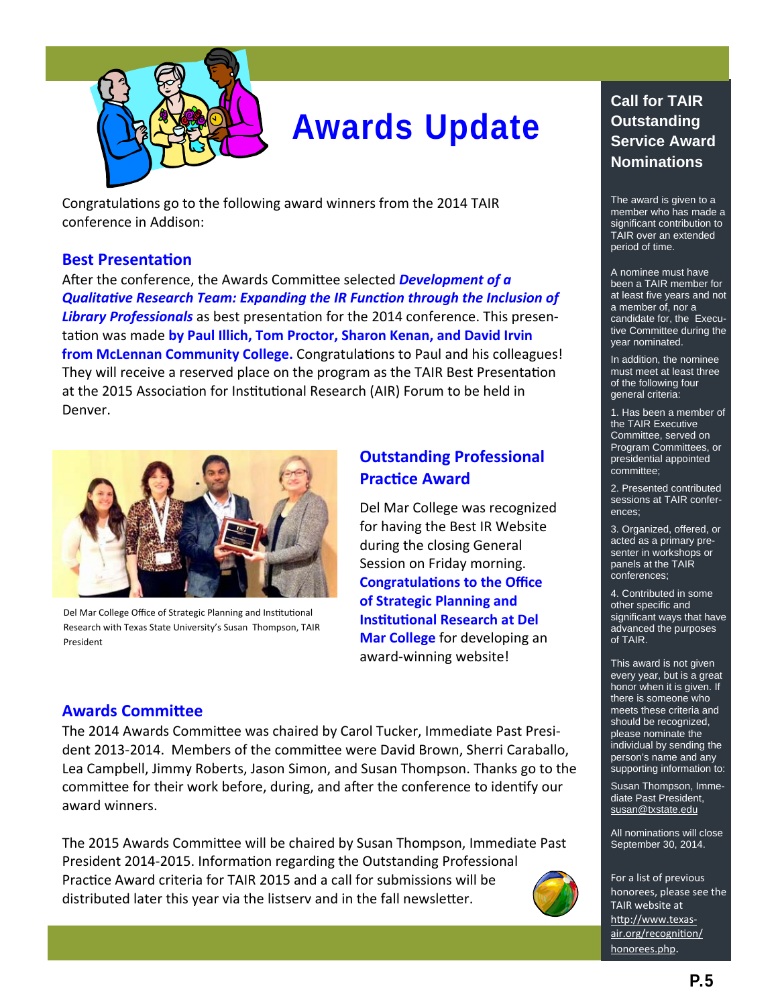

# **Awards Update**

Congratulations go to the following award winners from the 2014 TAIR conference in Addison:

#### **Best PresentaƟon**

After the conference, the Awards Committee selected **Development of a** *QualitaƟve Research Team: Expanding the IR FuncƟon through the Inclusion of* Library Professionals as best presentation for the 2014 conference. This presentaƟon was made **by Paul Illich, Tom Proctor, Sharon Kenan, and David Irvin from McLennan Community College.** Congratulations to Paul and his colleagues! They will receive a reserved place on the program as the TAIR Best Presentation at the 2015 Association for Institutional Research (AIR) Forum to be held in Denver.



Del Mar College Office of Strategic Planning and Institutional Research with Texas State University's Susan Thompson, TAIR President

#### **Outstanding Professional PracƟce Award**

Del Mar College was recognized for having the Best IR Website during the closing General Session on Friday morning. **CongratulaƟons to the Office of Strategic Planning and InsƟtuƟonal Research at Del Mar College** for developing an award‐winning website!

#### **Awards CommiƩee**

The 2014 Awards Committee was chaired by Carol Tucker, Immediate Past President 2013-2014. Members of the committee were David Brown, Sherri Caraballo, Lea Campbell, Jimmy Roberts, Jason Simon, and Susan Thompson. Thanks go to the committee for their work before, during, and after the conference to identify our award winners.

The 2015 Awards Committee will be chaired by Susan Thompson, Immediate Past President 2014-2015. Information regarding the Outstanding Professional Practice Award criteria for TAIR 2015 and a call for submissions will be distributed later this year via the listserv and in the fall newsletter.



#### **Call for TAIR Outstanding Service Award Nominations**

The award is given to a member who has made a significant contribution to TAIR over an extended period of time.

A nominee must have been a TAIR member for at least five years and not a member of, nor a candidate for, the Executive Committee during the year nominated.

In addition, the nominee must meet at least three of the following four general criteria:

1. Has been a member of the TAIR Executive Committee, served on Program Committees, or presidential appointed committee;

2. Presented contributed sessions at TAIR conferences;

3. Organized, offered, or acted as a primary presenter in workshops or panels at the TAIR conferences;

4. Contributed in some other specific and significant ways that have advanced the purposes of TAIR.

This award is not given every year, but is a great honor when it is given. If there is someone who meets these criteria and should be recognized, please nominate the individual by sending the person's name and any supporting information to:

Susan Thompson, Immediate Past President, susan@txstate.edu

All nominations will close September 30, 2014.

For a list of previous honorees, please see the TAIR website at http://www.texasair.org/recognition/ [honorees.php.](http://www.texas-air.org/recognition/honorees.php)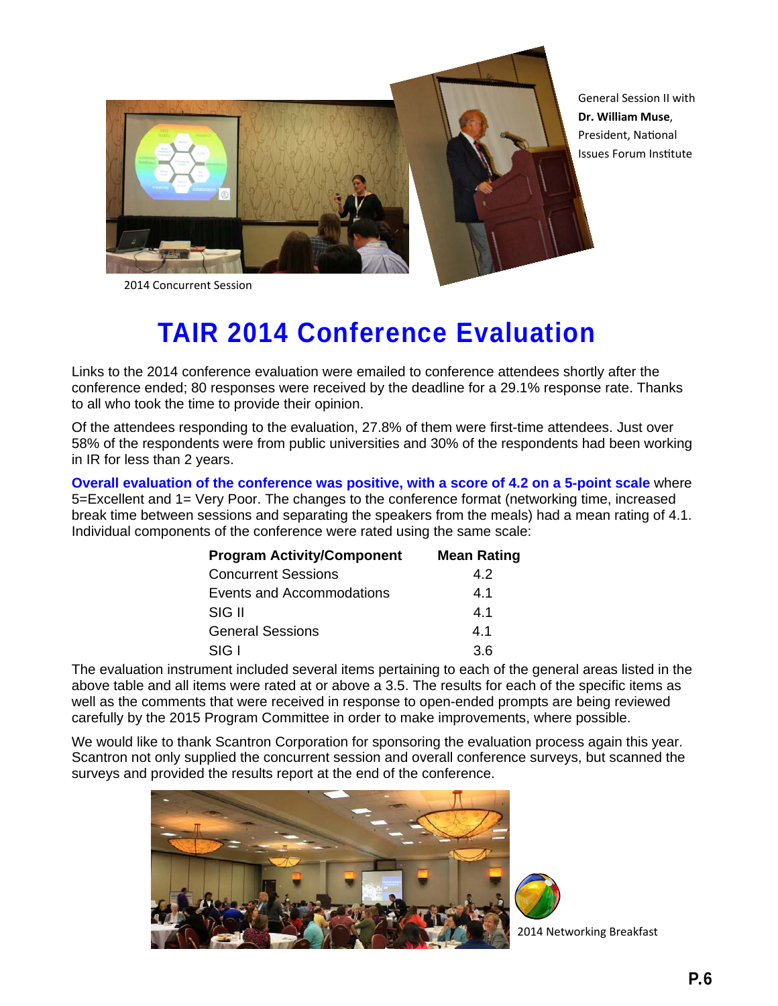

General Session II with **Dr. William Muse**, President, National Issues Forum InsƟtute

2014 Concurrent Session

# **TAIR 2014 Conference Evaluation**

Links to the 2014 conference evaluation were emailed to conference attendees shortly after the conference ended; 80 responses were received by the deadline for a 29.1% response rate. Thanks to all who took the time to provide their opinion.

Of the attendees responding to the evaluation, 27.8% of them were first-time attendees. Just over 58% of the respondents were from public universities and 30% of the respondents had been working in IR for less than 2 years.

**Overall evaluation of the conference was positive, with a score of 4.2 on a 5-point scale** where 5=Excellent and 1= Very Poor. The changes to the conference format (networking time, increased break time between sessions and separating the speakers from the meals) had a mean rating of 4.1. Individual components of the conference were rated using the same scale:

| <b>Program Activity/Component</b> | <b>Mean Rating</b> |  |  |
|-----------------------------------|--------------------|--|--|
| <b>Concurrent Sessions</b>        | 4.2                |  |  |
| Events and Accommodations         | 4.1                |  |  |
| SIG II                            | 4.1                |  |  |
| <b>General Sessions</b>           | 4.1                |  |  |
| SIG I                             | 36                 |  |  |

The evaluation instrument included several items pertaining to each of the general areas listed in the above table and all items were rated at or above a 3.5. The results for each of the specific items as well as the comments that were received in response to open-ended prompts are being reviewed carefully by the 2015 Program Committee in order to make improvements, where possible.

We would like to thank Scantron Corporation for sponsoring the evaluation process again this year. Scantron not only supplied the concurrent session and overall conference surveys, but scanned the surveys and provided the results report at the end of the conference.



2014 Networking Breakfast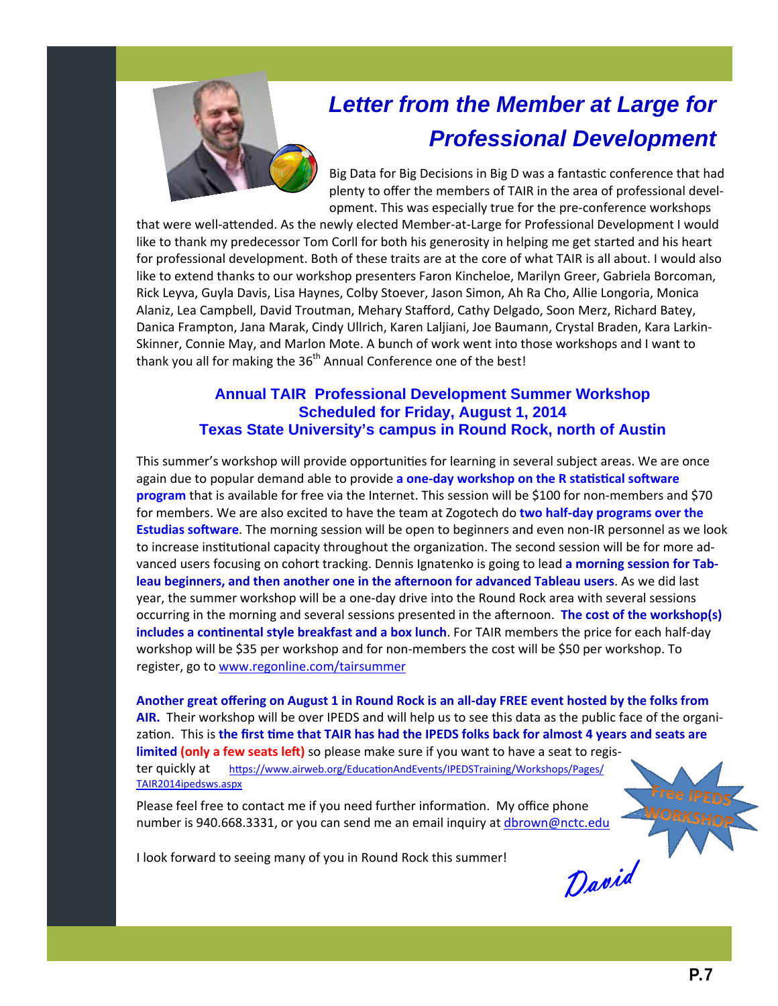

# *Letter from the Member at Large for Professional Development*

Big Data for Big Decisions in Big D was a fantastic conference that had plenty to offer the members of TAIR in the area of professional devel‐ opment. This was especially true for the pre‐conference workshops

that were well-attended. As the newly elected Member-at-Large for Professional Development I would like to thank my predecessor Tom Corll for both his generosity in helping me get started and his heart for professional development. Both of these traits are at the core of what TAIR is all about. I would also like to extend thanks to our workshop presenters Faron Kincheloe, Marilyn Greer, Gabriela Borcoman, Rick Leyva, Guyla Davis, Lisa Haynes, Colby Stoever, Jason Simon, Ah Ra Cho, Allie Longoria, Monica Alaniz, Lea Campbell, David Troutman, Mehary Stafford, Cathy Delgado, Soon Merz, Richard Batey, Danica Frampton, Jana Marak, Cindy Ullrich, Karen Laljiani, Joe Baumann, Crystal Braden, Kara Larkin‐ Skinner, Connie May, and Marlon Mote. A bunch of work went into those workshops and I want to thank you all for making the 36<sup>th</sup> Annual Conference one of the best!

#### **Annual TAIR Professional Development Summer Workshop Scheduled for Friday, August 1, 2014 Texas State University's campus in Round Rock, north of Austin**

This summer's workshop will provide opportunities for learning in several subject areas. We are once again due to popular demand able to provide **a one-day workshop on the R staƟsƟcal soŌware program** that is available for free via the Internet. This session will be \$100 for non-members and \$70 for members. We are also excited to have the team at Zogotech do **two half-day programs over the Estudias software**. The morning session will be open to beginners and even non-IR personnel as we look to increase institutional capacity throughout the organization. The second session will be for more advanced users focusing on cohort tracking. Dennis Ignatenko is going to lead **a morning session for Tableau beginners, and then another one in the aŌernoon for advanced Tableau users**. As we did last year, the summer workshop will be a one-day drive into the Round Rock area with several sessions occurring in the morning and several sessions presented in the afternoon. **The cost of the workshop(s) includes a continental style breakfast and a box lunch.** For TAIR members the price for each half-day workshop will be \$35 per workshop and for non-members the cost will be \$50 per workshop. To register, go to www.regonline.com/tairsummer

Another great offering on August 1 in Round Rock is an all-day FREE event hosted by the folks from **AIR.** Their workshop will be over IPEDS and will help us to see this data as the public face of the organization. This is the first time that TAIR has had the IPEDS folks back for almost 4 years and seats are **limited (only a few seats left)** so please make sure if you want to have a seat to register quickly at https://www.airweb.org/Educati[onAndEvents/IPEDSTraining/Workshops/Pages/](https://www.airweb.org/EducationAndEvents/IPEDSTraining/Workshops/Pages/TAIR2014ipedsws.aspx) TAIR2014ipedsws.aspx

Please feel free to contact me if you need further information. My office phone number is 940.668.3331, or you can send me an email inquiry at dbrown@nctc.edu

I look forward to seeing many of you in Round Rock this summer!

David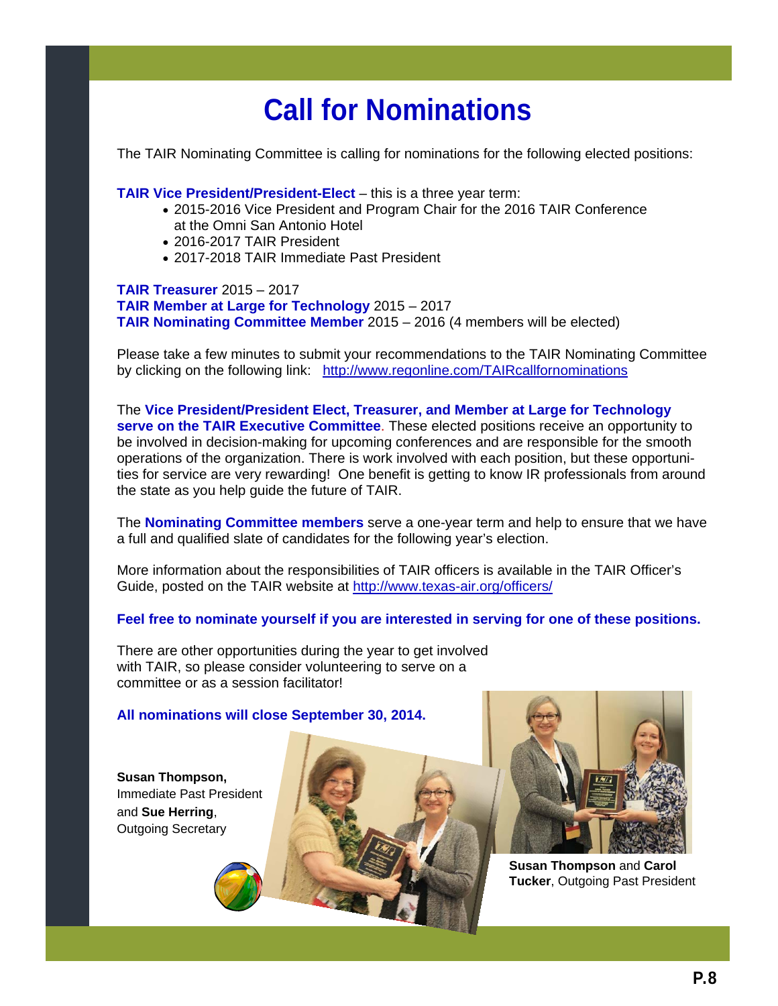# **Call for Nominations**

The TAIR Nominating Committee is calling for nominations for the following elected positions:

**TAIR Vice President/President-Elect** – this is a three year term:

- 2015-2016 Vice President and Program Chair for the 2016 TAIR Conference at the Omni San Antonio Hotel
- 2016-2017 TAIR President
- 2017-2018 TAIR Immediate Past President

**TAIR Treasurer** 2015 – 2017 **TAIR Member at Large for Technology** 2015 – 2017 **TAIR Nominating Committee Member** 2015 – 2016 (4 members will be elected)

Please take a few minutes to submit your recommendations to the TAIR Nominating Committee by clicking on the following link: http://www.regonline.com/TAIRcallfornominations

The **Vice President/President Elect, Treasurer, and Member at Large for Technology serve on the TAIR Executive Committee**. These elected positions receive an opportunity to be involved in decision-making for upcoming conferences and are responsible for the smooth operations of the organization. There is work involved with each position, but these opportunities for service are very rewarding! One benefit is getting to know IR professionals from around the state as you help guide the future of TAIR.

The **Nominating Committee members** serve a one-year term and help to ensure that we have a full and qualified slate of candidates for the following year's election.

More information about the responsibilities of TAIR officers is available in the TAIR Officer's Guide, posted on the TAIR website at http://www.texas-air.org/officers/

**Feel free to nominate yourself if you are interested in serving for one of these positions.**

There are other opportunities during the year to get involved with TAIR, so please consider volunteering to serve on a committee or as a session facilitator!

#### **All nominations will close September 30, 2014.**

**Susan Thompson,**  Immediate Past President and **Sue Herring**, Outgoing Secretary





**Susan Thompson** and **Carol Tucker**, Outgoing Past President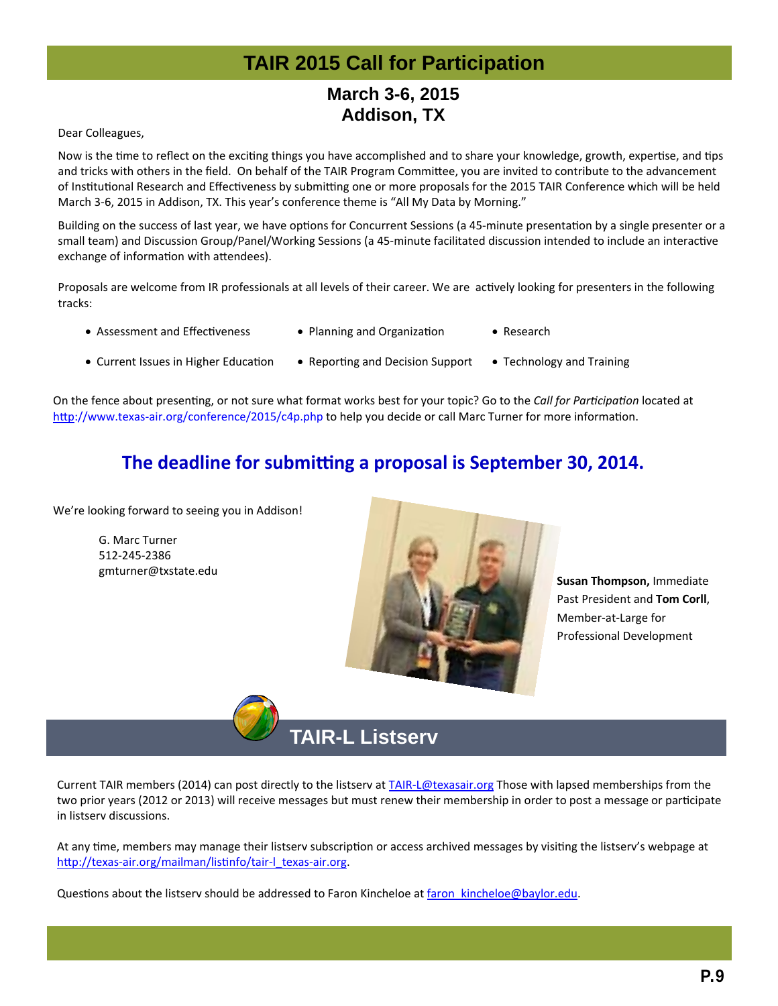# **TAIR 2015 Call for Participation**

### **March 3-6, 2015 Addison, TX**

Dear Colleagues,

Now is the time to reflect on the exciting things you have accomplished and to share your knowledge, growth, expertise, and tips and tricks with others in the field. On behalf of the TAIR Program Committee, you are invited to contribute to the advancement of Institutional Research and Effectiveness by submitting one or more proposals for the 2015 TAIR Conference which will be held March 3‐6, 2015 in Addison, TX. This year's conference theme is "All My Data by Morning."

Building on the success of last year, we have options for Concurrent Sessions (a 45-minute presentation by a single presenter or a small team) and Discussion Group/Panel/Working Sessions (a 45-minute facilitated discussion intended to include an interactive exchange of information with attendees).

Proposals are welcome from IR professionals at all levels of their career. We are actively looking for presenters in the following tracks:

- 
- Assessment and Effectiveness Planning and Organization Research
	-
- Current Issues in Higher Education Reporting and Decision Support Technology and Training

On the fence about presenƟng, or not sure what format works best for your topic? Go to the *Call for ParƟcipaƟon* located at http://www.texas-[air.org/conference/2015/c4p.php](http://www.texas-air.org/conference/2015/c4p.php) to help you decide or call Marc Turner for more information.

### **The deadline for submitting a proposal is September 30, 2014.**

We're looking forward to seeing you in Addison!

G. Marc Turner 512‐245‐2386 gmturner@txstate.edu



**Susan Thompson,** Immediate Past President and **Tom Corll**, Member‐at‐Large for Professional Development

# **TAIR-L Listserv**

Current TAIR members (2014) can post directly to the listserv at TAIR-L@texasair.org Those with lapsed memberships from the two prior years (2012 or 2013) will receive messages but must renew their membership in order to post a message or participate in listserv discussions.

At any time, members may manage their listserv subscription or access archived messages by visiting the listserv's webpage at http://texas-[air.org/mailman/lis](http://texas-air.org/mailman/listinfo/tair-l_texas-air.org)tinfo/tair-l\_texas-air.org.

Questions about the listserv should be addressed to Faron Kincheloe at faron kincheloe@baylor.edu.